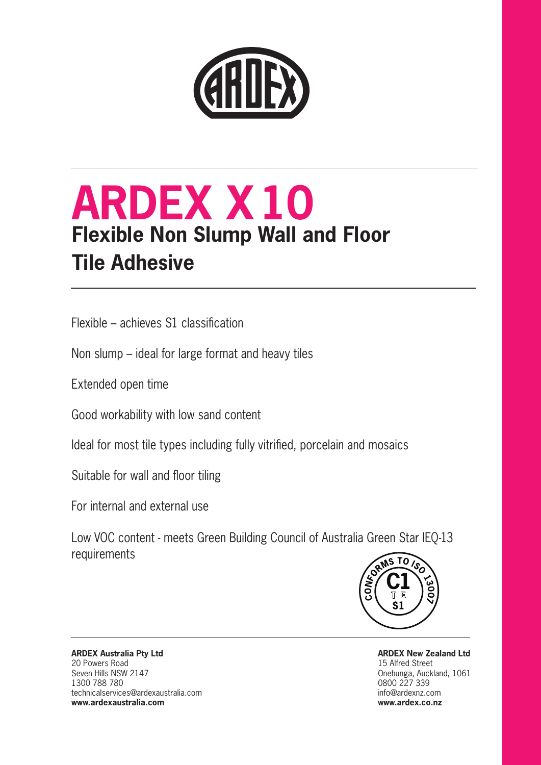

# **ARDEX X10 Flexible Non Slump Wall and Floor Tile Adhesive**

Flexible – achieves S1 classification

Non slump – ideal for large format and heavy tiles

Extended open time

Good workability with low sand content

Ideal for most tile types including fully vitrified, porcelain and mosaics

Suitable for wall and floor tiling

For internal and external use

Low VOC content - meets Green Building Council of Australia Green Star IEQ-13 requirements



**ARDEX New Zealand Ltd** 15 Alfred Street Onehunga, Auckland, 1061 0800 227 339 info@ardexnz.com **www.ardex.co.nz**

**ARDEX Australia Pty Ltd** 20 Powers Road Seven Hills NSW 2147 1300 788 780 technicalservices@ardexaustralia.com **www.ardexaustralia.com**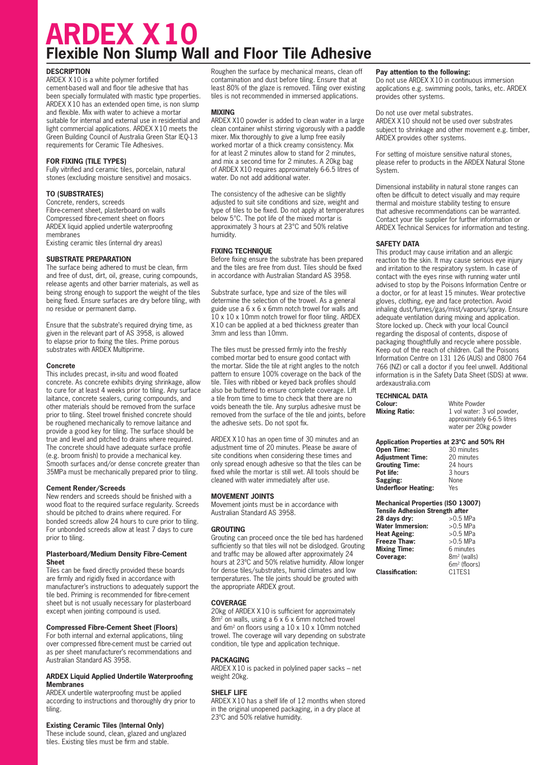# **ARDEX X10 Flexible Non Slump Wall and Floor Tile Adhesive**

# **DESCRIPTION**

ARDEX X10 is a white polymer fortified cement-based wall and floor tile adhesive that has been specially formulated with mastic type properties. ARDEX X10 has an extended open time, is non slump and flexible. Mix with water to achieve a mortar suitable for internal and external use in residential and light commercial applications. ARDEX X10 meets the Green Building Council of Australia Green Star IEQ-13 requirements for Ceramic Tile Adhesives.

# **FOR FIXING (TILE TYPES)**

Fully vitrified and ceramic tiles, porcelain, natural stones (excluding moisture sensitive) and mosaics.

# **TO (SUBSTRATES)**

Concrete, renders, screeds Fibre-cement sheet, plasterboard on walls Compressed fibre-cement sheet on floors ARDEX liquid applied undertile waterproofing membranes Existing ceramic tiles (internal dry areas)

# **SUBSTRATE PREPARATION**

The surface being adhered to must be clean, firm and free of dust, dirt, oil, grease, curing compounds, release agents and other barrier materials, as well as being strong enough to support the weight of the tiles being fixed. Ensure surfaces are dry before tiling, with no residue or permanent damp.

Ensure that the substrate's required drying time, as given in the relevant part of AS 3958, is allowed to elapse prior to fixing the tiles. Prime porous substrates with ARDEX Multiprime.

# **Concrete**

This includes precast, in-situ and wood floated concrete. As concrete exhibits drying shrinkage, allow to cure for at least 4 weeks prior to tiling. Any surface laitance, concrete sealers, curing compounds, and other materials should be removed from the surface prior to tiling. Steel trowel finished concrete should be roughened mechanically to remove laitance and provide a good key for tiling. The surface should be true and level and pitched to drains where required. The concrete should have adequate surface profile (e.g. broom finish) to provide a mechanical key. Smooth surfaces and/or dense concrete greater than 35MPa must be mechanically prepared prior to tiling.

# **Cement Render/Screeds**

New renders and screeds should be finished with a wood float to the required surface regularity. Screeds should be pitched to drains where required. For bonded screeds allow 24 hours to cure prior to tiling. For unbonded screeds allow at least 7 days to cure prior to tiling.

#### **Plasterboard/Medium Density Fibre-Cement Sheet**

Tiles can be fixed directly provided these boards are firmly and rigidly fixed in accordance with manufacturer's instructions to adequately support the tile bed. Priming is recommended for fibre-cement sheet but is not usually necessary for plasterboard except when jointing compound is used.

# **Compressed Fibre-Cement Sheet (Floors)**

For both internal and external applications, tiling over compressed fibre-cement must be carried out as per sheet manufacturer's recommendations and Australian Standard AS 3958.

#### **ARDEX Liquid Applied Undertile Waterproofing Membranes**

ARDEX undertile waterproofing must be applied according to instructions and thoroughly dry prior to tiling.

# **Existing Ceramic Tiles (Internal Only)**

These include sound, clean, glazed and unglazed tiles. Existing tiles must be firm and stable.

Roughen the surface by mechanical means, clean off contamination and dust before tiling. Ensure that at least 80% of the glaze is removed. Tiling over existing tiles is not recommended in immersed applications.

# **MIXING**

ARDEX X10 powder is added to clean water in a large clean container whilst stirring vigorously with a paddle mixer. Mix thoroughly to give a lump free easily worked mortar of a thick creamy consistency. Mix for at least 2 minutes allow to stand for 2 minutes, and mix a second time for 2 minutes. A 20kg bag of ARDEX X10 requires approximately 6-6.5 litres of water. Do not add additional water.

The consistency of the adhesive can be slightly adjusted to suit site conditions and size, weight and type of tiles to be fixed. Do not apply at temperatures below 5°C. The pot life of the mixed mortar is approximately 3 hours at 23°C and 50% relative humidity.

# **FIXING TECHNIQUE**

Before fixing ensure the substrate has been prepared and the tiles are free from dust. Tiles should be fixed in accordance with Australian Standard AS 3958.

Substrate surface, type and size of the tiles will determine the selection of the trowel. As a general guide use a 6 x 6 x 6mm notch trowel for walls and 10 x 10 x 10mm notch trowel for floor tiling. ARDEX X10 can be applied at a bed thickness greater than 3mm and less than 10mm.

The tiles must be pressed firmly into the freshly combed mortar bed to ensure good contact with the mortar. Slide the tile at right angles to the notch pattern to ensure 100% coverage on the back of the tile. Tiles with ribbed or keyed back profiles should also be buttered to ensure complete coverage. Lift a tile from time to time to check that there are no voids beneath the tile. Any surplus adhesive must be removed from the surface of the tile and joints, before the adhesive sets. Do not spot fix.

ARDEX X10 has an open time of 30 minutes and an adjustment time of 20 minutes. Please be aware of site conditions when considering these times and only spread enough adhesive so that the tiles can be fixed while the mortar is still wet. All tools should be cleaned with water immediately after use.

# **MOVEMENT JOINTS**

Movement joints must be in accordance with Australian Standard AS 3958.

# **GROUTING**

Grouting can proceed once the tile bed has hardened sufficiently so that tiles will not be dislodged. Grouting and traffic may be allowed after approximately 24 hours at 23ºC and 50% relative humidity. Allow longer for dense tiles/substrates, humid climates and low temperatures. The tile joints should be grouted with the appropriate ARDEX grout.

# **COVERAGE**

20kg of ARDEX X10 is sufficient for approximately 8m2 on walls, using a 6 x 6 x 6mm notched trowel and 6m2 on floors using a 10 x 10 x 10mm notched trowel. The coverage will vary depending on substrate condition, tile type and application technique.

# **PACKAGING**

ARDEX X10 is packed in polylined paper sacks – net weight 20kg.

# **SHELF LIFE**

ARDEX X10 has a shelf life of 12 months when stored in the original unopened packaging, in a dry place at 23ºC and 50% relative humidity.

# **Pay attention to the following:**

Do not use ARDEX X10 in continuous immersion applications e.g. swimming pools, tanks, etc. ARDEX provides other systems.

Do not use over metal substrates. ARDEX X10 should not be used over substrates subject to shrinkage and other movement e.g. timber, ARDEX provides other systems.

For setting of moisture sensitive natural stones, please refer to products in the ARDEX Natural Stone System.

Dimensional instability in natural stone ranges can often be difficult to detect visually and may require thermal and moisture stability testing to ensure that adhesive recommendations can be warranted. Contact your tile supplier for further information or ARDEX Technical Services for information and testing.

# **SAFETY DATA**

This product may cause irritation and an allergic reaction to the skin. It may cause serious eye injury and irritation to the respiratory system. In case of contact with the eyes rinse with running water until advised to stop by the Poisons Information Centre or a doctor, or for at least 15 minutes. Wear protective gloves, clothing, eye and face protection. Avoid inhaling dust/fumes/gas/mist/vapours/spray. Ensure adequate ventilation during mixing and application. Store locked up. Check with your local Council regarding the disposal of contents, dispose of packaging thoughtfully and recycle where possible. Keep out of the reach of children. Call the Poisons Information Centre on 131 126 (AUS) and 0800 764 766 (NZ) or call a doctor if you feel unwell. Additional information is in the Safety Data Sheet (SDS) at www. ardexaustralia.com

# **TECHNICAL DATA**

**Colour: Mixing Ratio:**

| White Powder               |
|----------------------------|
| 1 vol water: 3 vol powder, |
| approximately 6-6.5 litres |
| water per 20kg powder      |

| Application Properties at 23°C and 50% RH |             |  |
|-------------------------------------------|-------------|--|
| Open Time:                                | 30 minutes  |  |
| <b>Adjustment Time:</b>                   | 20 minutes  |  |
| <b>Grouting Time:</b>                     | 24 hours    |  |
| Pot life:                                 | 3 hours     |  |
| Sagging:                                  | <b>None</b> |  |
| <b>Underfloor Heating:</b>                | Yes         |  |

| <b>Mechanical Properties (ISO 13007)</b><br><b>Tensile Adhesion Strength after</b> |                                 |
|------------------------------------------------------------------------------------|---------------------------------|
| 28 days dry:                                                                       | $>0.5$ MPa                      |
| <b>Water Immersion:</b>                                                            | $>0.5$ MPa                      |
| <b>Heat Ageing:</b>                                                                | $>0.5$ MPa                      |
| Freeze Thaw:                                                                       | $>0.5$ MPa                      |
| <b>Mixing Time:</b>                                                                | 6 minutes                       |
| Coverage:                                                                          | $8m2$ (walls)                   |
|                                                                                    | 6m <sup>2</sup> (floors)        |
| <b>Classification:</b>                                                             | C <sub>1</sub> TES <sub>1</sub> |

**Classification:**